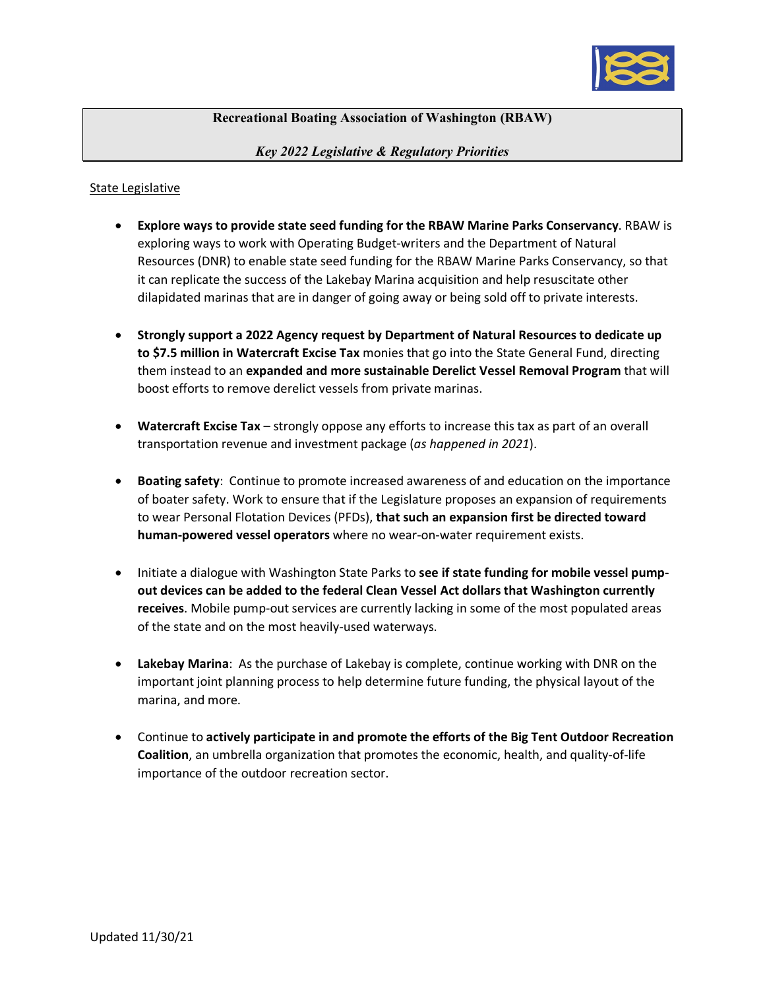

## **Recreational Boating Association of Washington (RBAW)**

*Key 2022 Legislative & Regulatory Priorities*

## State Legislative

- **Explore ways to provide state seed funding for the RBAW Marine Parks Conservancy**. RBAW is exploring ways to work with Operating Budget-writers and the Department of Natural Resources (DNR) to enable state seed funding for the RBAW Marine Parks Conservancy, so that it can replicate the success of the Lakebay Marina acquisition and help resuscitate other dilapidated marinas that are in danger of going away or being sold off to private interests.
- **Strongly support a 2022 Agency request by Department of Natural Resources to dedicate up to \$7.5 million in Watercraft Excise Tax** monies that go into the State General Fund, directing them instead to an **expanded and more sustainable Derelict Vessel Removal Program** that will boost efforts to remove derelict vessels from private marinas.
- **Watercraft Excise Tax** strongly oppose any efforts to increase this tax as part of an overall transportation revenue and investment package (*as happened in 2021*).
- **Boating safety**: Continue to promote increased awareness of and education on the importance of boater safety. Work to ensure that if the Legislature proposes an expansion of requirements to wear Personal Flotation Devices (PFDs), **that such an expansion first be directed toward human-powered vessel operators** where no wear-on-water requirement exists.
- Initiate a dialogue with Washington State Parks to **see if state funding for mobile vessel pumpout devices can be added to the federal Clean Vessel Act dollars that Washington currently receives**. Mobile pump-out services are currently lacking in some of the most populated areas of the state and on the most heavily-used waterways.
- **Lakebay Marina**: As the purchase of Lakebay is complete, continue working with DNR on the important joint planning process to help determine future funding, the physical layout of the marina, and more.
- Continue to **actively participate in and promote the efforts of the Big Tent Outdoor Recreation Coalition**, an umbrella organization that promotes the economic, health, and quality-of-life importance of the outdoor recreation sector.